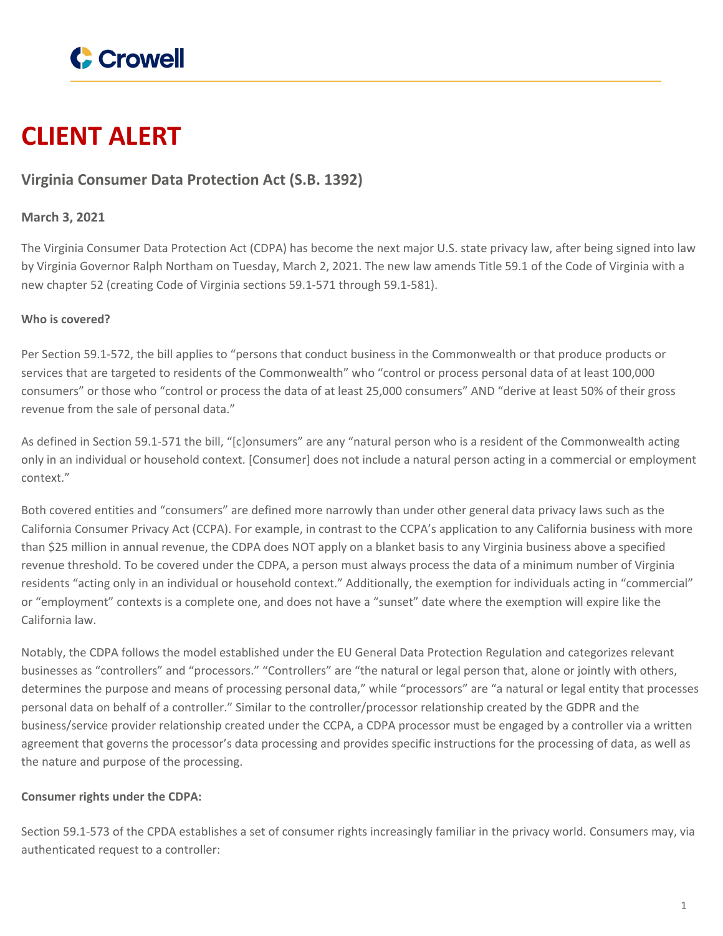

# **CLIENT ALERT**

# **Virginia Consumer Data Protection Act (S.B. 1392)**

### **March 3, 2021**

The Virginia Consumer Data Protection Act (CDPA) has become the next major U.S. state privacy law, after being signed into law by Virginia Governor Ralph Northam on Tuesday, March 2, 2021. The new law amends Title 59.1 of the Code of Virginia with a new chapter 52 (creating Code of Virginia sections 59.1-571 through 59.1-581).

#### **Who is covered?**

Per Section 59.1-572, the bill applies to "persons that conduct business in the Commonwealth or that produce products or services that are targeted to residents of the Commonwealth" who "control or process personal data of at least 100,000 consumers" or those who "control or process the data of at least 25,000 consumers" AND "derive at least 50% of their gross revenue from the sale of personal data."

As defined in Section 59.1-571 the bill, "[c]onsumers" are any "natural person who is a resident of the Commonwealth acting only in an individual or household context. [Consumer] does not include a natural person acting in a commercial or employment context."

Both covered entities and "consumers" are defined more narrowly than under other general data privacy laws such as the California Consumer Privacy Act (CCPA). For example, in contrast to the CCPA's application to any California business with more than \$25 million in annual revenue, the CDPA does NOT apply on a blanket basis to any Virginia business above a specified revenue threshold. To be covered under the CDPA, a person must always process the data of a minimum number of Virginia residents "acting only in an individual or household context." Additionally, the exemption for individuals acting in "commercial" or "employment" contexts is a complete one, and does not have a "sunset" date where the exemption will expire like the California law.

Notably, the CDPA follows the model established under the EU General Data Protection Regulation and categorizes relevant businesses as "controllers" and "processors." "Controllers" are "the natural or legal person that, alone or jointly with others, determines the purpose and means of processing personal data," while "processors" are "a natural or legal entity that processes personal data on behalf of a controller." Similar to the controller/processor relationship created by the GDPR and the business/service provider relationship created under the CCPA, a CDPA processor must be engaged by a controller via a written agreement that governs the processor's data processing and provides specific instructions for the processing of data, as well as the nature and purpose of the processing.

#### **Consumer rights under the CDPA:**

Section 59.1-573 of the CPDA establishes a set of consumer rights increasingly familiar in the privacy world. Consumers may, via authenticated request to a controller: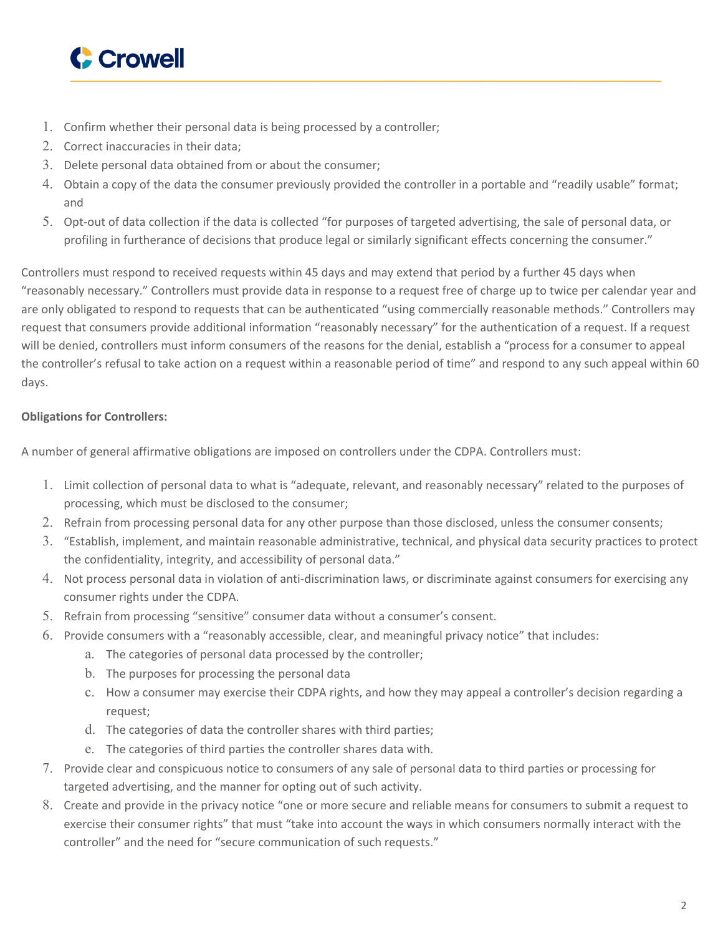

- 1. Confirm whether their personal data is being processed by a controller;
- 2. Correct inaccuracies in their data;
- 3. Delete personal data obtained from or about the consumer;
- 4. Obtain a copy of the data the consumer previously provided the controller in a portable and "readily usable" format; and
- 5. Opt-out of data collection if the data is collected "for purposes of targeted advertising, the sale of personal data, or profiling in furtherance of decisions that produce legal or similarly significant effects concerning the consumer."

Controllers must respond to received requests within 45 days and may extend that period by a further 45 days when "reasonably necessary." Controllers must provide data in response to a request free of charge up to twice per calendar year and are only obligated to respond to requests that can be authenticated "using commercially reasonable methods." Controllers may request that consumers provide additional information "reasonably necessary" for the authentication of a request. If a request will be denied, controllers must inform consumers of the reasons for the denial, establish a "process for a consumer to appeal the controller's refusal to take action on a request within a reasonable period of time" and respond to any such appeal within 60 days.

## **Obligations for Controllers:**

A number of general affirmative obligations are imposed on controllers under the CDPA. Controllers must:

- 1. Limit collection of personal data to what is "adequate, relevant, and reasonably necessary" related to the purposes of processing, which must be disclosed to the consumer;
- 2. Refrain from processing personal data for any other purpose than those disclosed, unless the consumer consents;
- 3. "Establish, implement, and maintain reasonable administrative, technical, and physical data security practices to protect the confidentiality, integrity, and accessibility of personal data."
- 4. Not process personal data in violation of anti-discrimination laws, or discriminate against consumers for exercising any consumer rights under the CDPA.
- 5. Refrain from processing "sensitive" consumer data without a consumer's consent.
- 6. Provide consumers with a "reasonably accessible, clear, and meaningful privacy notice" that includes:
	- a. The categories of personal data processed by the controller;
	- b. The purposes for processing the personal data
	- c. How a consumer may exercise their CDPA rights, and how they may appeal a controller's decision regarding a request;
	- d. The categories of data the controller shares with third parties;
	- e. The categories of third parties the controller shares data with.
- 7. Provide clear and conspicuous notice to consumers of any sale of personal data to third parties or processing for targeted advertising, and the manner for opting out of such activity.
- 8. Create and provide in the privacy notice "one or more secure and reliable means for consumers to submit a request to exercise their consumer rights" that must "take into account the ways in which consumers normally interact with the controller" and the need for "secure communication of such requests."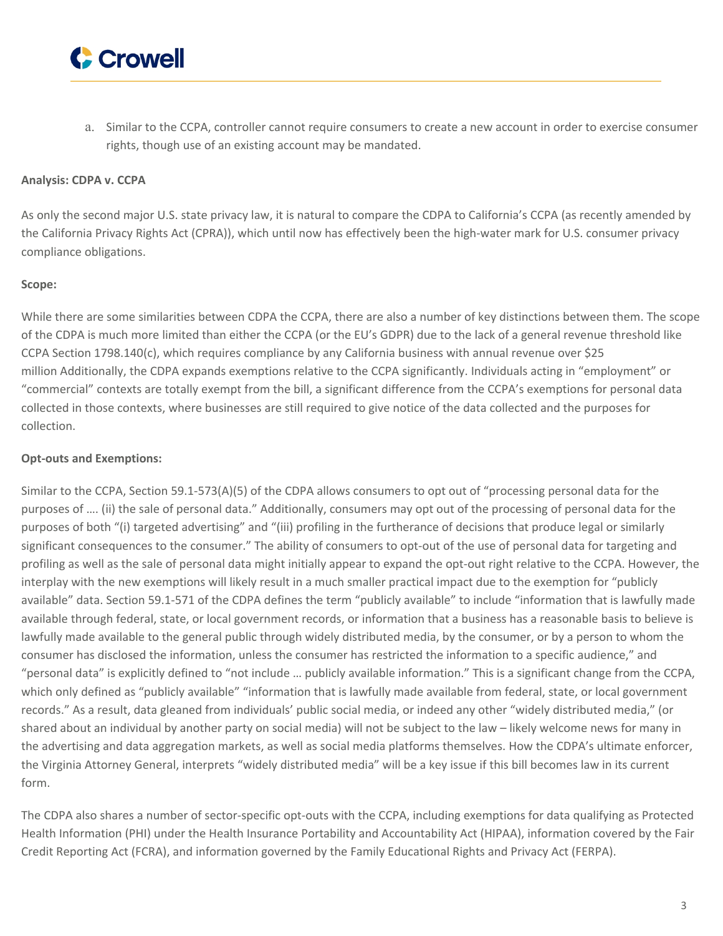

a. Similar to the CCPA, controller cannot require consumers to create a new account in order to exercise consumer rights, though use of an existing account may be mandated.

#### **Analysis: CDPA v. CCPA**

As only the second major U.S. state privacy law, it is natural to compare the CDPA to California's CCPA (as recently amended by the California Privacy Rights Act (CPRA)), which until now has effectively been the high-water mark for U.S. consumer privacy compliance obligations.

#### **Scope:**

While there are some similarities between CDPA the CCPA, there are also a number of key distinctions between them. The scope of the CDPA is much more limited than either the CCPA (or the EU's GDPR) due to the lack of a general revenue threshold like CCPA Section 1798.140(c), which requires compliance by any California business with annual revenue over \$25 million Additionally, the CDPA expands exemptions relative to the CCPA significantly. Individuals acting in "employment" or "commercial" contexts are totally exempt from the bill, a significant difference from the CCPA's exemptions for personal data collected in those contexts, where businesses are still required to give notice of the data collected and the purposes for collection.

#### **Opt-outs and Exemptions:**

Similar to the CCPA, Section 59.1-573(A)(5) of the CDPA allows consumers to opt out of "processing personal data for the purposes of …. (ii) the sale of personal data." Additionally, consumers may opt out of the processing of personal data for the purposes of both "(i) targeted advertising" and "(iii) profiling in the furtherance of decisions that produce legal or similarly significant consequences to the consumer." The ability of consumers to opt-out of the use of personal data for targeting and profiling as well as the sale of personal data might initially appear to expand the opt-out right relative to the CCPA. However, the interplay with the new exemptions will likely result in a much smaller practical impact due to the exemption for "publicly available" data. Section 59.1-571 of the CDPA defines the term "publicly available" to include "information that is lawfully made available through federal, state, or local government records, or information that a business has a reasonable basis to believe is lawfully made available to the general public through widely distributed media, by the consumer, or by a person to whom the consumer has disclosed the information, unless the consumer has restricted the information to a specific audience," and "personal data" is explicitly defined to "not include … publicly available information." This is a significant change from the CCPA, which only defined as "publicly available" "information that is lawfully made available from federal, state, or local government records." As a result, data gleaned from individuals' public social media, or indeed any other "widely distributed media," (or shared about an individual by another party on social media) will not be subject to the law – likely welcome news for many in the advertising and data aggregation markets, as well as social media platforms themselves. How the CDPA's ultimate enforcer, the Virginia Attorney General, interprets "widely distributed media" will be a key issue if this bill becomes law in its current form.

The CDPA also shares a number of sector-specific opt-outs with the CCPA, including exemptions for data qualifying as Protected Health Information (PHI) under the Health Insurance Portability and Accountability Act (HIPAA), information covered by the Fair Credit Reporting Act (FCRA), and information governed by the Family Educational Rights and Privacy Act (FERPA).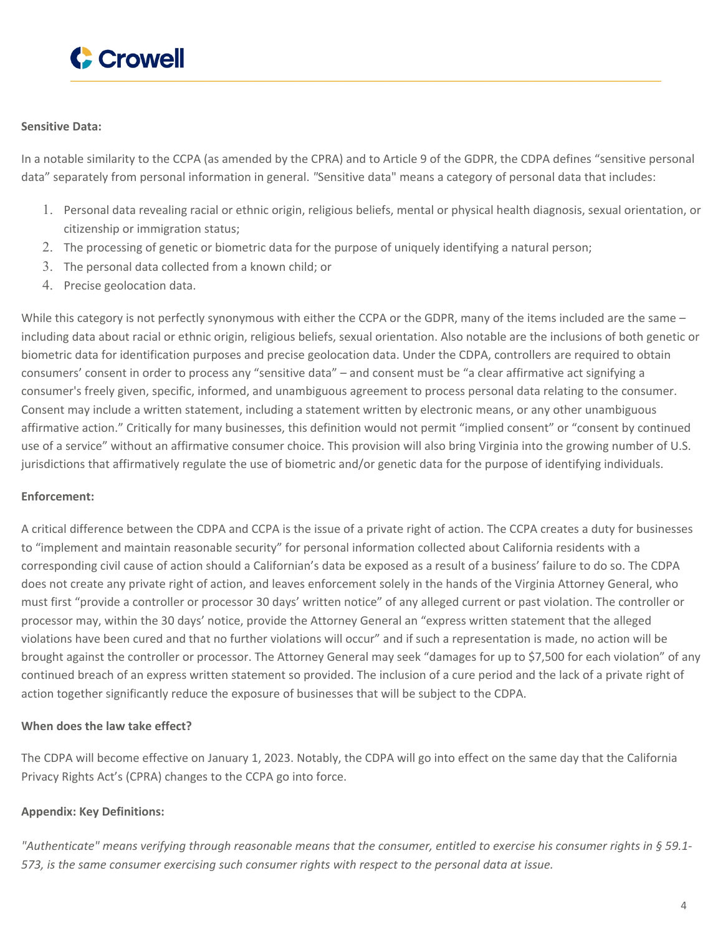

#### **Sensitive Data:**

In a notable similarity to the CCPA (as amended by the CPRA) and to Article 9 of the GDPR, the CDPA defines "sensitive personal data" separately from personal information in general. *"*Sensitive data" means a category of personal data that includes:

- 1. Personal data revealing racial or ethnic origin, religious beliefs, mental or physical health diagnosis, sexual orientation, or citizenship or immigration status;
- 2. The processing of genetic or biometric data for the purpose of uniquely identifying a natural person;
- 3. The personal data collected from a known child; or
- 4. Precise geolocation data.

While this category is not perfectly synonymous with either the CCPA or the GDPR, many of the items included are the same – including data about racial or ethnic origin, religious beliefs, sexual orientation. Also notable are the inclusions of both genetic or biometric data for identification purposes and precise geolocation data. Under the CDPA, controllers are required to obtain consumers' consent in order to process any "sensitive data" – and consent must be "a clear affirmative act signifying a consumer's freely given, specific, informed, and unambiguous agreement to process personal data relating to the consumer. Consent may include a written statement, including a statement written by electronic means, or any other unambiguous affirmative action." Critically for many businesses, this definition would not permit "implied consent" or "consent by continued use of a service" without an affirmative consumer choice. This provision will also bring Virginia into the growing number of U.S. jurisdictions that affirmatively regulate the use of biometric and/or genetic data for the purpose of identifying individuals.

#### **Enforcement:**

A critical difference between the CDPA and CCPA is the issue of a private right of action. The CCPA creates a duty for businesses to "implement and maintain reasonable security" for personal information collected about California residents with a corresponding civil cause of action should a Californian's data be exposed as a result of a business' failure to do so. The CDPA does not create any private right of action, and leaves enforcement solely in the hands of the Virginia Attorney General, who must first "provide a controller or processor 30 days' written notice" of any alleged current or past violation. The controller or processor may, within the 30 days' notice, provide the Attorney General an "express written statement that the alleged violations have been cured and that no further violations will occur" and if such a representation is made, no action will be brought against the controller or processor. The Attorney General may seek "damages for up to \$7,500 for each violation" of any continued breach of an express written statement so provided. The inclusion of a cure period and the lack of a private right of action together significantly reduce the exposure of businesses that will be subject to the CDPA.

#### **When does the law take effect?**

The CDPA will become effective on January 1, 2023. Notably, the CDPA will go into effect on the same day that the California Privacy Rights Act's (CPRA) changes to the CCPA go into force.

#### **Appendix: Key Definitions:**

"Authenticate" means verifying through reasonable means that the consumer, entitled to exercise his consumer rights in § 59.1-*573, is the same consumer exercising such consumer rights with respect to the personal data at issue.*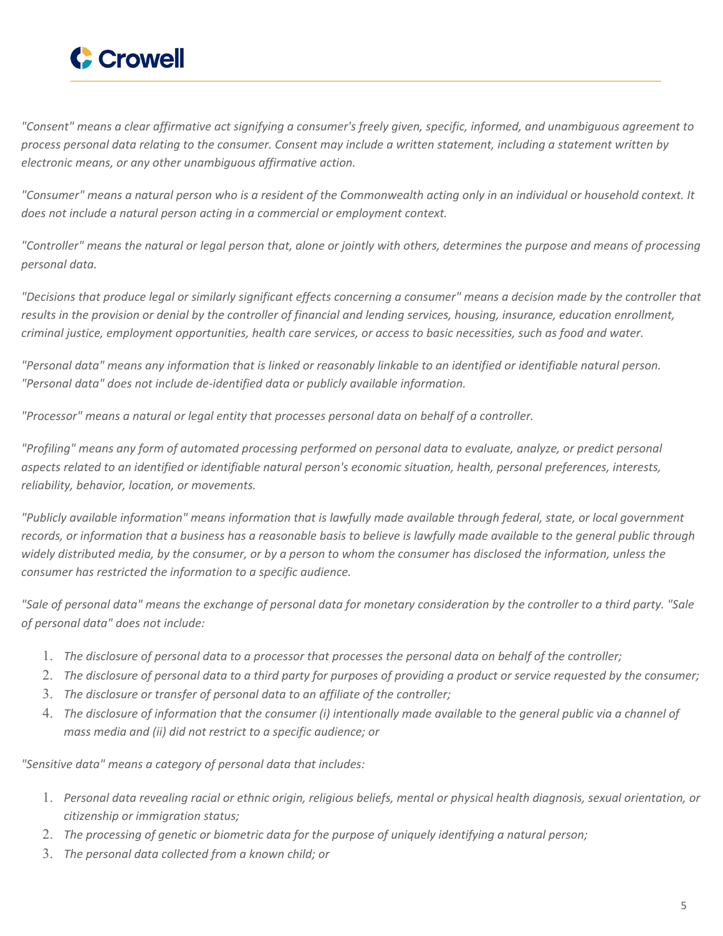

"Consent" means a clear affirmative act signifying a consumer's freely given, specific, informed, and unambiquous agreement to process personal data relating to the consumer. Consent may include a written statement, including a statement written by *electronic means, or any other unambiguous affirmative action.*

"Consumer" means a natural person who is a resident of the Commonwealth acting only in an individual or household context. It *does not include a natural person acting in a commercial or employment context.*

"Controller" means the natural or legal person that, alone or jointly with others, determines the purpose and means of processing *personal data.*

"Decisions that produce legal or similarly significant effects concerning a consumer" means a decision made by the controller that results in the provision or denial by the controller of financial and lending services, housing, insurance, education enrollment, criminal justice, employment opportunities, health care services, or access to basic necessities, such as food and water.

"Personal data" means any information that is linked or reasonably linkable to an identified or identifiable natural person. *"Personal data" does not include de-identified data or publicly available information.*

*"Processor" means a natural or legal entity that processes personal data on behalf of a controller.*

"Profiling" means any form of automated processing performed on personal data to evaluate, analyze, or predict personal aspects related to an identified or identifiable natural person's economic situation, health, personal preferences, interests, *reliability, behavior, location, or movements.*

"Publicly available information" means information that is lawfully made available through federal, state, or local government records, or information that a business has a reasonable basis to believe is lawfully made available to the general public through widely distributed media, by the consumer, or by a person to whom the consumer has disclosed the information, unless the *consumer has restricted the information to a specific audience.*

"Sale of personal data" means the exchange of personal data for monetary consideration by the controller to a third party. "Sale *of personal data" does not include:*

- 1. The disclosure of personal data to a processor that processes the personal data on behalf of the controller;
- 2. The disclosure of personal data to a third party for purposes of providing a product or service requested by the consumer;
- 3. *The disclosure or transfer of personal data to an affiliate of the controller;*
- 4. The disclosure of information that the consumer (i) intentionally made available to the general public via a channel of *mass media and (ii) did not restrict to a specific audience; or*

*"Sensitive data" means a category of personal data that includes:*

- 1. Personal data revealing racial or ethnic origin, religious beliefs, mental or physical health diagnosis, sexual orientation, or *citizenship or immigration status;*
- 2. *The processing of genetic or biometric data for the purpose of uniquely identifying a natural person;*
- 3. *The personal data collected from a known child; or*